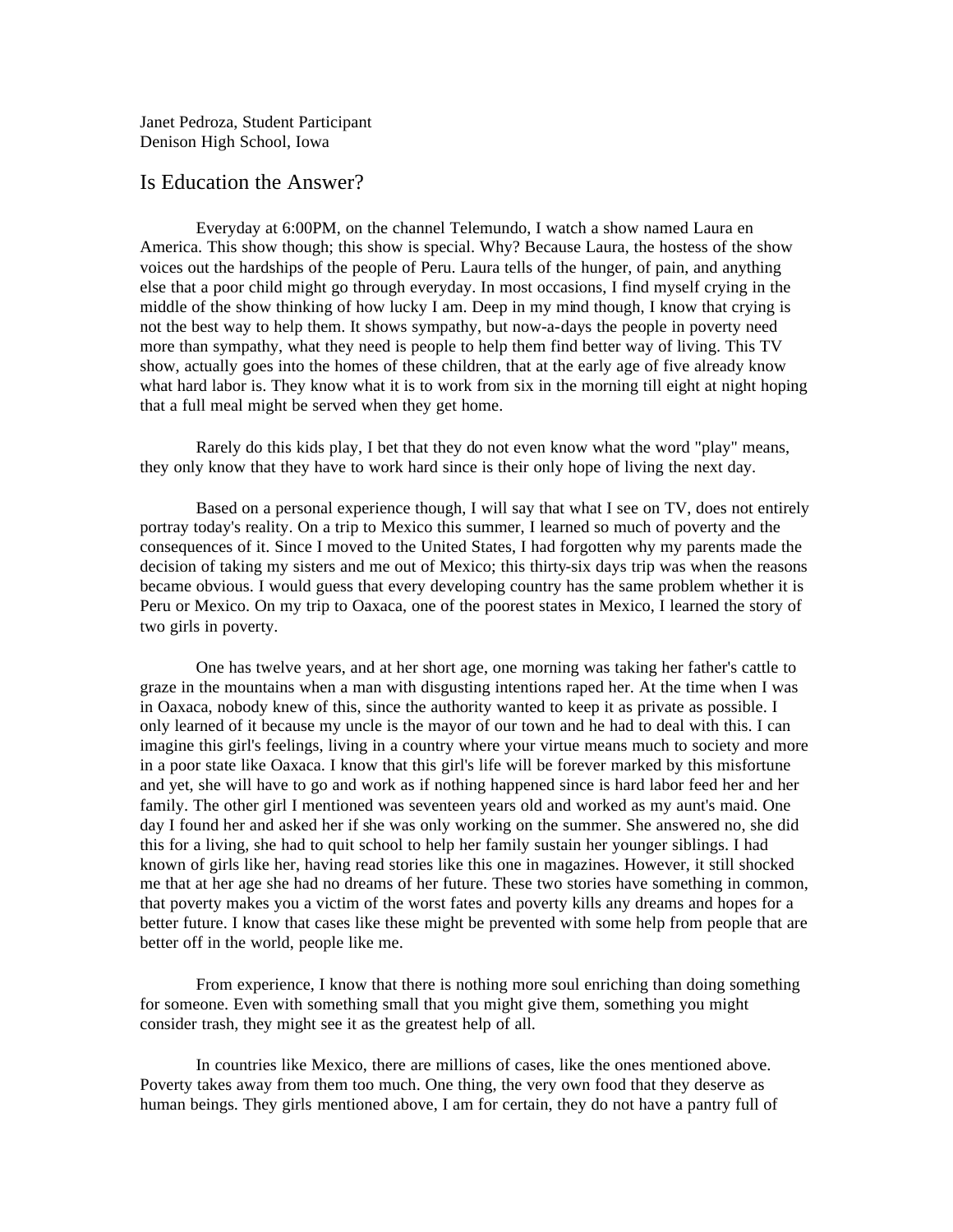Janet Pedroza, Student Participant Denison High School, Iowa

## Is Education the Answer?

Everyday at 6:00PM, on the channel Telemundo, I watch a show named Laura en America. This show though; this show is special. Why? Because Laura, the hostess of the show voices out the hardships of the people of Peru. Laura tells of the hunger, of pain, and anything else that a poor child might go through everyday. In most occasions, I find myself crying in the middle of the show thinking of how lucky I am. Deep in my mind though, I know that crying is not the best way to help them. It shows sympathy, but now-a-days the people in poverty need more than sympathy, what they need is people to help them find better way of living. This TV show, actually goes into the homes of these children, that at the early age of five already know what hard labor is. They know what it is to work from six in the morning till eight at night hoping that a full meal might be served when they get home.

Rarely do this kids play, I bet that they do not even know what the word "play" means, they only know that they have to work hard since is their only hope of living the next day.

Based on a personal experience though, I will say that what I see on TV, does not entirely portray today's reality. On a trip to Mexico this summer, I learned so much of poverty and the consequences of it. Since I moved to the United States, I had forgotten why my parents made the decision of taking my sisters and me out of Mexico; this thirty-six days trip was when the reasons became obvious. I would guess that every developing country has the same problem whether it is Peru or Mexico. On my trip to Oaxaca, one of the poorest states in Mexico, I learned the story of two girls in poverty.

One has twelve years, and at her short age, one morning was taking her father's cattle to graze in the mountains when a man with disgusting intentions raped her. At the time when I was in Oaxaca, nobody knew of this, since the authority wanted to keep it as private as possible. I only learned of it because my uncle is the mayor of our town and he had to deal with this. I can imagine this girl's feelings, living in a country where your virtue means much to society and more in a poor state like Oaxaca. I know that this girl's life will be forever marked by this misfortune and yet, she will have to go and work as if nothing happened since is hard labor feed her and her family. The other girl I mentioned was seventeen years old and worked as my aunt's maid. One day I found her and asked her if she was only working on the summer. She answered no, she did this for a living, she had to quit school to help her family sustain her younger siblings. I had known of girls like her, having read stories like this one in magazines. However, it still shocked me that at her age she had no dreams of her future. These two stories have something in common, that poverty makes you a victim of the worst fates and poverty kills any dreams and hopes for a better future. I know that cases like these might be prevented with some help from people that are better off in the world, people like me.

From experience, I know that there is nothing more soul enriching than doing something for someone. Even with something small that you might give them, something you might consider trash, they might see it as the greatest help of all.

In countries like Mexico, there are millions of cases, like the ones mentioned above. Poverty takes away from them too much. One thing, the very own food that they deserve as human beings. They girls mentioned above, I am for certain, they do not have a pantry full of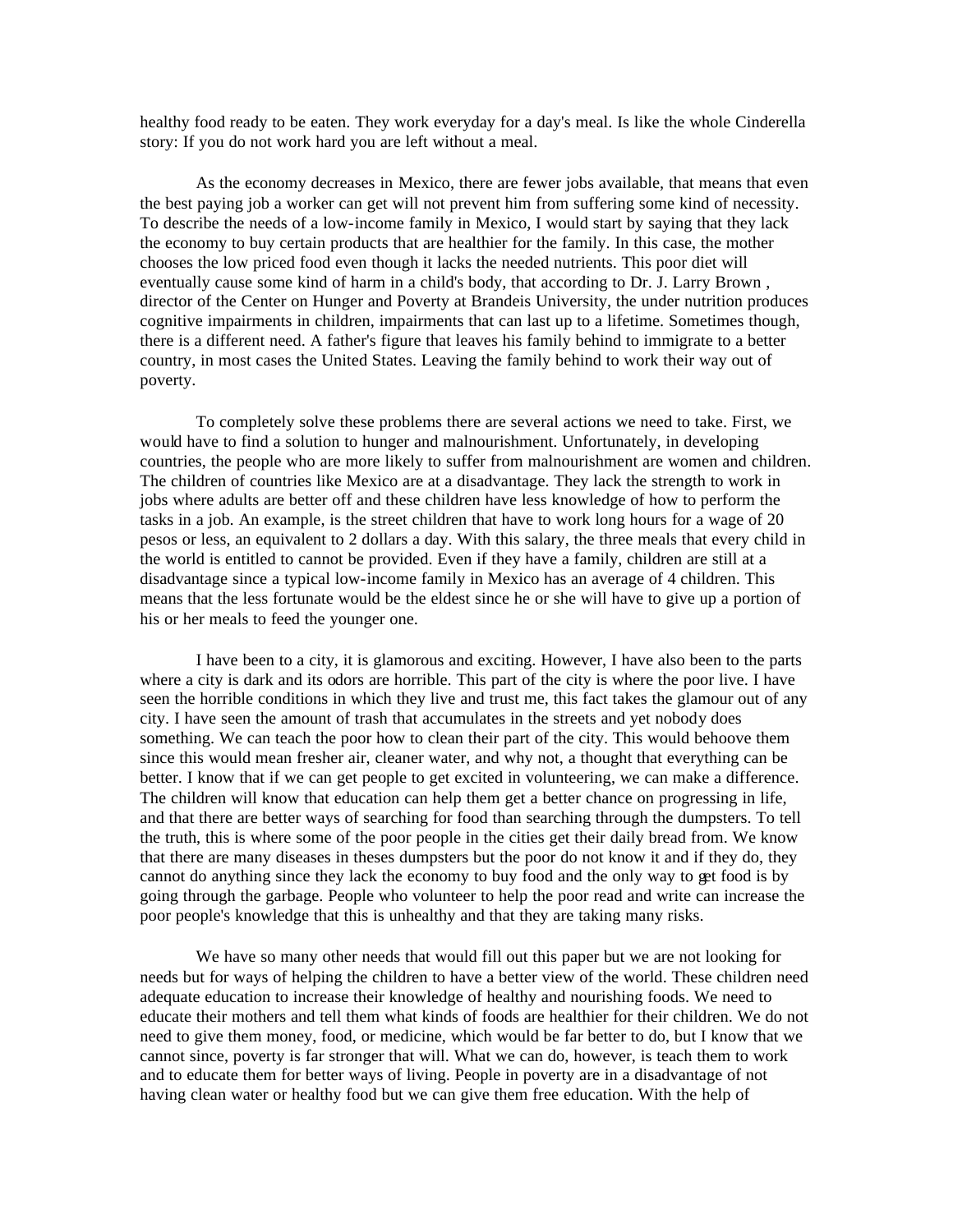healthy food ready to be eaten. They work everyday for a day's meal. Is like the whole Cinderella story: If you do not work hard you are left without a meal.

As the economy decreases in Mexico, there are fewer jobs available, that means that even the best paying job a worker can get will not prevent him from suffering some kind of necessity. To describe the needs of a low-income family in Mexico, I would start by saying that they lack the economy to buy certain products that are healthier for the family. In this case, the mother chooses the low priced food even though it lacks the needed nutrients. This poor diet will eventually cause some kind of harm in a child's body, that according to Dr. J. Larry Brown , director of the Center on Hunger and Poverty at Brandeis University, the under nutrition produces cognitive impairments in children, impairments that can last up to a lifetime. Sometimes though, there is a different need. A father's figure that leaves his family behind to immigrate to a better country, in most cases the United States. Leaving the family behind to work their way out of poverty.

To completely solve these problems there are several actions we need to take. First, we would have to find a solution to hunger and malnourishment. Unfortunately, in developing countries, the people who are more likely to suffer from malnourishment are women and children. The children of countries like Mexico are at a disadvantage. They lack the strength to work in jobs where adults are better off and these children have less knowledge of how to perform the tasks in a job. An example, is the street children that have to work long hours for a wage of 20 pesos or less, an equivalent to 2 dollars a day. With this salary, the three meals that every child in the world is entitled to cannot be provided. Even if they have a family, children are still at a disadvantage since a typical low-income family in Mexico has an average of 4 children. This means that the less fortunate would be the eldest since he or she will have to give up a portion of his or her meals to feed the younger one.

I have been to a city, it is glamorous and exciting. However, I have also been to the parts where a city is dark and its odors are horrible. This part of the city is where the poor live. I have seen the horrible conditions in which they live and trust me, this fact takes the glamour out of any city. I have seen the amount of trash that accumulates in the streets and yet nobody does something. We can teach the poor how to clean their part of the city. This would behoove them since this would mean fresher air, cleaner water, and why not, a thought that everything can be better. I know that if we can get people to get excited in volunteering, we can make a difference. The children will know that education can help them get a better chance on progressing in life, and that there are better ways of searching for food than searching through the dumpsters. To tell the truth, this is where some of the poor people in the cities get their daily bread from. We know that there are many diseases in theses dumpsters but the poor do not know it and if they do, they cannot do anything since they lack the economy to buy food and the only way to get food is by going through the garbage. People who volunteer to help the poor read and write can increase the poor people's knowledge that this is unhealthy and that they are taking many risks.

We have so many other needs that would fill out this paper but we are not looking for needs but for ways of helping the children to have a better view of the world. These children need adequate education to increase their knowledge of healthy and nourishing foods. We need to educate their mothers and tell them what kinds of foods are healthier for their children. We do not need to give them money, food, or medicine, which would be far better to do, but I know that we cannot since, poverty is far stronger that will. What we can do, however, is teach them to work and to educate them for better ways of living. People in poverty are in a disadvantage of not having clean water or healthy food but we can give them free education. With the help of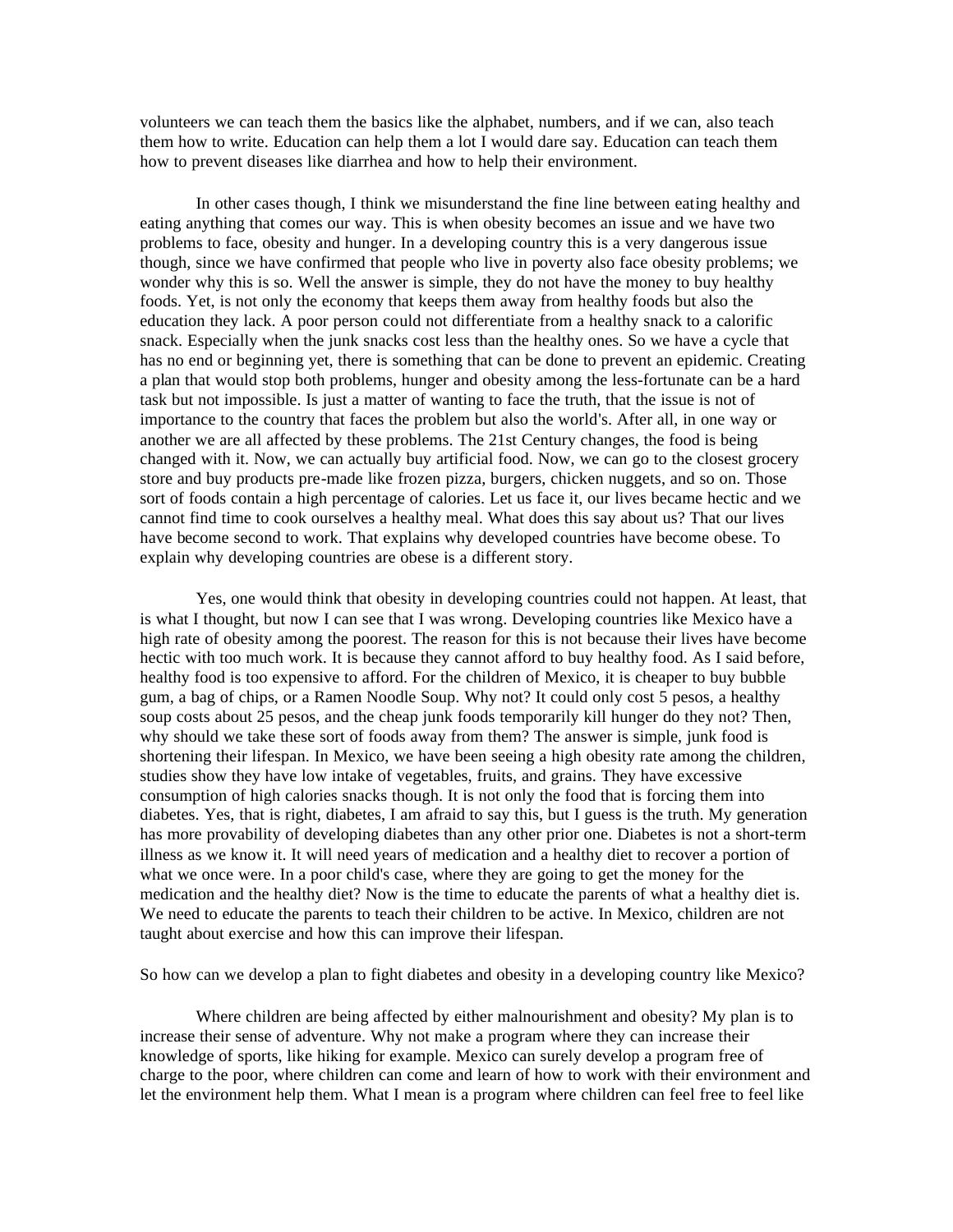volunteers we can teach them the basics like the alphabet, numbers, and if we can, also teach them how to write. Education can help them a lot I would dare say. Education can teach them how to prevent diseases like diarrhea and how to help their environment.

In other cases though, I think we misunderstand the fine line between eating healthy and eating anything that comes our way. This is when obesity becomes an issue and we have two problems to face, obesity and hunger. In a developing country this is a very dangerous issue though, since we have confirmed that people who live in poverty also face obesity problems; we wonder why this is so. Well the answer is simple, they do not have the money to buy healthy foods. Yet, is not only the economy that keeps them away from healthy foods but also the education they lack. A poor person could not differentiate from a healthy snack to a calorific snack. Especially when the junk snacks cost less than the healthy ones. So we have a cycle that has no end or beginning yet, there is something that can be done to prevent an epidemic. Creating a plan that would stop both problems, hunger and obesity among the less-fortunate can be a hard task but not impossible. Is just a matter of wanting to face the truth, that the issue is not of importance to the country that faces the problem but also the world's. After all, in one way or another we are all affected by these problems. The 21st Century changes, the food is being changed with it. Now, we can actually buy artificial food. Now, we can go to the closest grocery store and buy products pre-made like frozen pizza, burgers, chicken nuggets, and so on. Those sort of foods contain a high percentage of calories. Let us face it, our lives became hectic and we cannot find time to cook ourselves a healthy meal. What does this say about us? That our lives have become second to work. That explains why developed countries have become obese. To explain why developing countries are obese is a different story.

Yes, one would think that obesity in developing countries could not happen. At least, that is what I thought, but now I can see that I was wrong. Developing countries like Mexico have a high rate of obesity among the poorest. The reason for this is not because their lives have become hectic with too much work. It is because they cannot afford to buy healthy food. As I said before, healthy food is too expensive to afford. For the children of Mexico, it is cheaper to buy bubble gum, a bag of chips, or a Ramen Noodle Soup. Why not? It could only cost 5 pesos, a healthy soup costs about 25 pesos, and the cheap junk foods temporarily kill hunger do they not? Then, why should we take these sort of foods away from them? The answer is simple, junk food is shortening their lifespan. In Mexico, we have been seeing a high obesity rate among the children, studies show they have low intake of vegetables, fruits, and grains. They have excessive consumption of high calories snacks though. It is not only the food that is forcing them into diabetes. Yes, that is right, diabetes, I am afraid to say this, but I guess is the truth. My generation has more provability of developing diabetes than any other prior one. Diabetes is not a short-term illness as we know it. It will need years of medication and a healthy diet to recover a portion of what we once were. In a poor child's case, where they are going to get the money for the medication and the healthy diet? Now is the time to educate the parents of what a healthy diet is. We need to educate the parents to teach their children to be active. In Mexico, children are not taught about exercise and how this can improve their lifespan.

So how can we develop a plan to fight diabetes and obesity in a developing country like Mexico?

Where children are being affected by either malnourishment and obesity? My plan is to increase their sense of adventure. Why not make a program where they can increase their knowledge of sports, like hiking for example. Mexico can surely develop a program free of charge to the poor, where children can come and learn of how to work with their environment and let the environment help them. What I mean is a program where children can feel free to feel like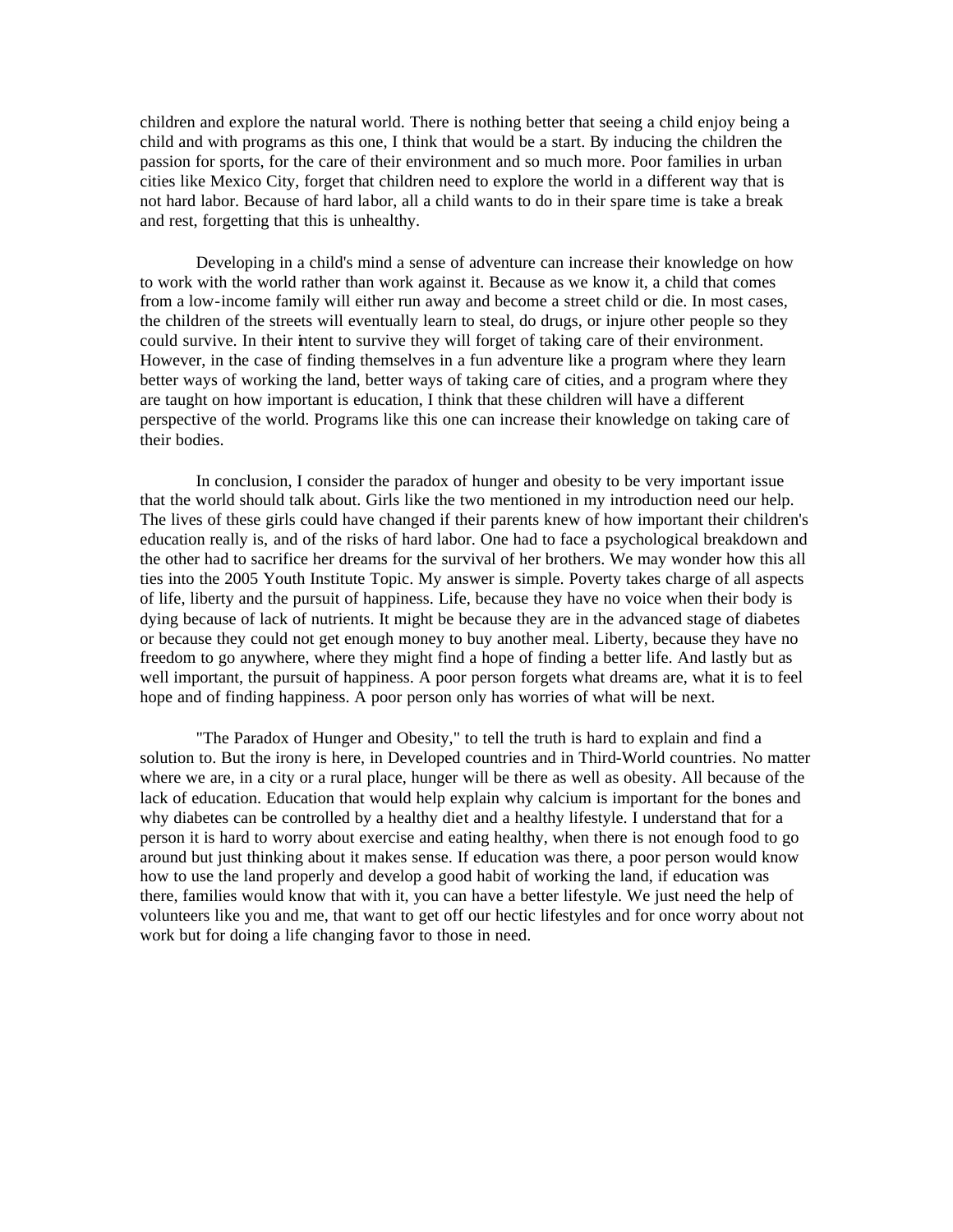children and explore the natural world. There is nothing better that seeing a child enjoy being a child and with programs as this one, I think that would be a start. By inducing the children the passion for sports, for the care of their environment and so much more. Poor families in urban cities like Mexico City, forget that children need to explore the world in a different way that is not hard labor. Because of hard labor, all a child wants to do in their spare time is take a break and rest, forgetting that this is unhealthy.

Developing in a child's mind a sense of adventure can increase their knowledge on how to work with the world rather than work against it. Because as we know it, a child that comes from a low-income family will either run away and become a street child or die. In most cases, the children of the streets will eventually learn to steal, do drugs, or injure other people so they could survive. In their intent to survive they will forget of taking care of their environment. However, in the case of finding themselves in a fun adventure like a program where they learn better ways of working the land, better ways of taking care of cities, and a program where they are taught on how important is education, I think that these children will have a different perspective of the world. Programs like this one can increase their knowledge on taking care of their bodies.

In conclusion, I consider the paradox of hunger and obesity to be very important issue that the world should talk about. Girls like the two mentioned in my introduction need our help. The lives of these girls could have changed if their parents knew of how important their children's education really is, and of the risks of hard labor. One had to face a psychological breakdown and the other had to sacrifice her dreams for the survival of her brothers. We may wonder how this all ties into the 2005 Youth Institute Topic. My answer is simple. Poverty takes charge of all aspects of life, liberty and the pursuit of happiness. Life, because they have no voice when their body is dying because of lack of nutrients. It might be because they are in the advanced stage of diabetes or because they could not get enough money to buy another meal. Liberty, because they have no freedom to go anywhere, where they might find a hope of finding a better life. And lastly but as well important, the pursuit of happiness. A poor person forgets what dreams are, what it is to feel hope and of finding happiness. A poor person only has worries of what will be next.

"The Paradox of Hunger and Obesity," to tell the truth is hard to explain and find a solution to. But the irony is here, in Developed countries and in Third-World countries. No matter where we are, in a city or a rural place, hunger will be there as well as obesity. All because of the lack of education. Education that would help explain why calcium is important for the bones and why diabetes can be controlled by a healthy diet and a healthy lifestyle. I understand that for a person it is hard to worry about exercise and eating healthy, when there is not enough food to go around but just thinking about it makes sense. If education was there, a poor person would know how to use the land properly and develop a good habit of working the land, if education was there, families would know that with it, you can have a better lifestyle. We just need the help of volunteers like you and me, that want to get off our hectic lifestyles and for once worry about not work but for doing a life changing favor to those in need.